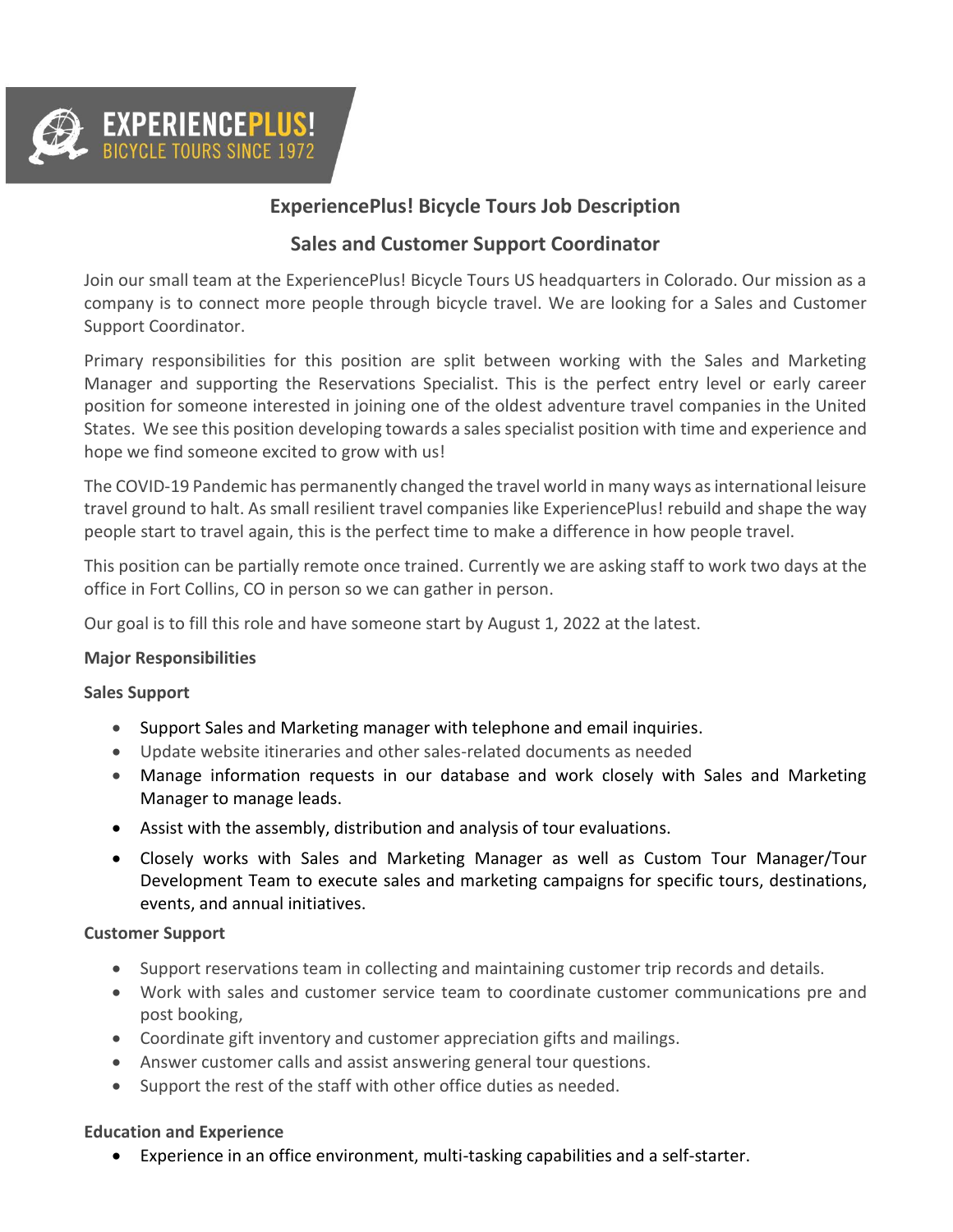

# **ExperiencePlus! Bicycle Tours Job Description**

## **Sales and Customer Support Coordinator**

Join our small team at the ExperiencePlus! Bicycle Tours US headquarters in Colorado. Our mission as a company is to connect more people through bicycle travel. We are looking for a Sales and Customer Support Coordinator.

Primary responsibilities for this position are split between working with the Sales and Marketing Manager and supporting the Reservations Specialist. This is the perfect entry level or early career position for someone interested in joining one of the oldest adventure travel companies in the United States. We see this position developing towards a sales specialist position with time and experience and hope we find someone excited to grow with us!

The COVID-19 Pandemic has permanently changed the travel world in many ways as international leisure travel ground to halt. As small resilient travel companies like ExperiencePlus! rebuild and shape the way people start to travel again, this is the perfect time to make a difference in how people travel.

This position can be partially remote once trained. Currently we are asking staff to work two days at the office in Fort Collins, CO in person so we can gather in person.

Our goal is to fill this role and have someone start by August 1, 2022 at the latest.

#### **Major Responsibilities**

#### **Sales Support**

- Support Sales and Marketing manager with telephone and email inquiries.
- Update website itineraries and other sales-related documents as needed
- Manage information requests in our database and work closely with Sales and Marketing Manager to manage leads.
- Assist with the assembly, distribution and analysis of tour evaluations.
- Closely works with Sales and Marketing Manager as well as Custom Tour Manager/Tour Development Team to execute sales and marketing campaigns for specific tours, destinations, events, and annual initiatives.

#### **Customer Support**

- Support reservations team in collecting and maintaining customer trip records and details.
- Work with sales and customer service team to coordinate customer communications pre and post booking,
- Coordinate gift inventory and customer appreciation gifts and mailings.
- Answer customer calls and assist answering general tour questions.
- Support the rest of the staff with other office duties as needed.

#### **Education and Experience**

• Experience in an office environment, multi-tasking capabilities and a self-starter.